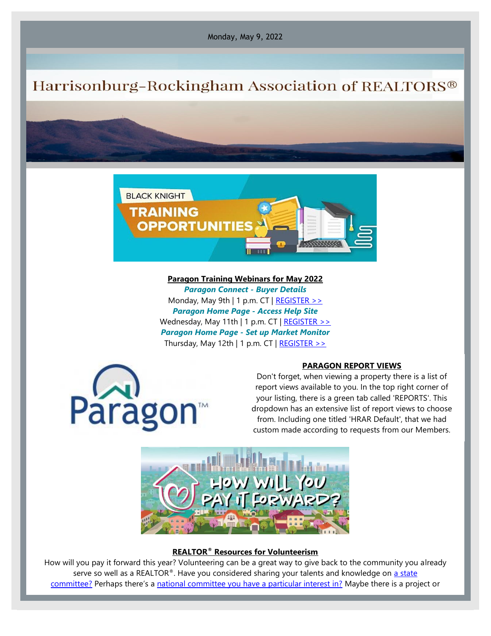Monday, May 9, 2022

## Harrisonburg-Rockingham Association of REALTORS®



**Paragon Training Webinars for May 2022** *Paragon Connect - Buyer Details* Monday, May 9th | 1 p.m. CT  $|$  [REGISTER >>](https://engage.blackknightinc.com/e3t/Ctc/I6+113/cW3RL04/VVmsjL6sdtdvN7GxPPXKRw8GW8LzBkh4JjqT5MhPPRS3lLBmV1-WJV7CgZHQW1kDM2T5n3hdsW3VmlZt3fD8gJW7QnrnT3QsH27W7P4Y8p3YpCZ9N8Rb9cPxPzkmW6P2MsW3FLqvZW2vVvS2916w1NW2BZp-L64dZcwW27NHr16sjwK_N3y2L_7PfCDDW3LKFLv3HsKqrW43y5Kr6jPSWMN2Z5r2zbZgbKW3HM9538bcT5_W2fyvmt8GXR8hW7hHB_H1t1km6W7qZX_08BQN3MN3tQRl2114fVW17rtRB4C8xBwW8YT8tW5FcB7WW3K6DMl2DNv53W5cSNLg9bMSNy3ht51) *Paragon Home Page - Access Help Site* Wednesday, May 11th | 1 p.m. CT | [REGISTER >>](https://engage.blackknightinc.com/e3t/Ctc/I6+113/cW3RL04/VVmsjL6sdtdvN7GxPPXKRw8GW8LzBkh4JjqT5MhPPRS3lLBmV1-WJV7CgJDSW5STcR088Q3hGVMV3sz1TLdK3W99MtBz5FQd0hW91bXpS24BkntW2CPT6J2LhwP9W7tNtTh77x7lQW2Jz0VZ4zpQ9sN3Yyv4Fz2MF3W47L7fs5wlCvTW7csrT01tqfXzW6HkTDz8Z7kdpW75Jp0m4k1thRVvZL9Y782R5YW6Gy_2611DWmJW4bGyYH8MyV_vW88_5D933x2-bW8hyrdz7ljlc_W7FBwq15xPb0GW3XXqnx6MbVCpW4jvyV_5TyWsLW8RH3lK3LZqmhN8JsMPbR939z31lm1) *Paragon Home Page - Set up Market Monitor* Thursday, May 12th | 1 p.m. CT | REGISTER  $\gg$ 



## **PARAGON REPORT VIEWS**

Don't forget, when viewing a property there is a list of report views available to you. In the top right corner of your listing, there is a green tab called 'REPORTS'. This dropdown has an extensive list of report views to choose from. Including one titled 'HRAR Default', that we had custom made according to requests from our Members.



## **REALTOR® Resources for Volunteerism**

How will you pay it forward this year? Volunteering can be a great way to give back to the community you already serve so well as a REALTOR®. Have you considered sharing your talents and knowledge on a state [committee?](https://virginiarealtors.org/committee-application/) Perhaps there's a [national committee you have a particular interest in?](https://gms.realtor.org/comrecords.nsf/comselMbrhome?readform) Maybe there is a project or